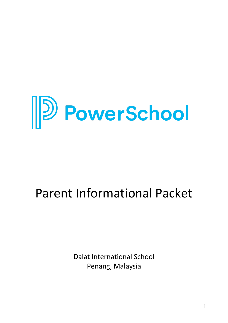

# Parent Informational Packet

Dalat International School Penang, Malaysia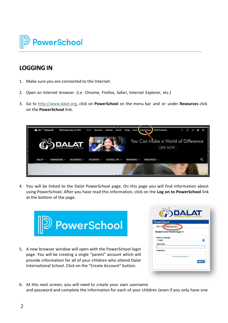

### **LOGGINGIN**

- 1. Make sure you are connected to the Internet.
- 2. Open an Internet browser. (i.e. Chrome, Firefox, Safari, Internet Explorer, etc.)
- 3. Go to [http://www.dalat.org,](http://www.dalat.org/) click on **PowerSchool** on the menu bar and or under **Resources** click on the **PowerSchool** link.



4. You will be linked to the Dalat PowerSchool page. On this page you will find information about using PowerSchool. After you have read this information, click on the **Log on to PowerSchool** link at the bottom of the page.



5. A new browser window will open with the PowerSchool login page. You will be creating a single "parent" account which will provide information for all of your children who attend Dalat International School. Click on the "Create Account" button.

| <b>PowerSchool</b>                |                            |
|-----------------------------------|----------------------------|
| Sign In Create Account            |                            |
| <b>Student and Parent Sign In</b> |                            |
| <b>Select Language</b>            |                            |
| English                           | ¢                          |
| Username                          |                            |
| Password                          |                            |
|                                   | Having trouble signing in? |
|                                   |                            |

6. At this next screen, you will need to create your own username and password and complete the information for each of your children (even if you only have one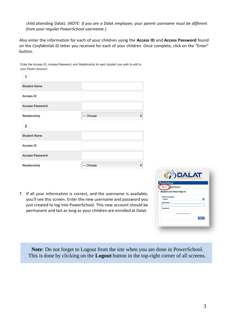child attending Dalat). (*NOTE: If you are a Dalat employee, your parent username must be different from your regular PowerSchool username.*)

Also enter the information for each of your children using the **Access ID** and **Access Password** found on the *Confidential ID* letter you received for each of your children. Once complete, click on the "Enter" button.

| your raient Account<br>1 |           |        |                    |
|--------------------------|-----------|--------|--------------------|
| <b>Student Name</b>      |           |        |                    |
| <b>Access ID</b>         |           |        |                    |
| <b>Access Password</b>   |           |        |                    |
| Relationship             | -- Choose | ÷      |                    |
| $\mathbf{2}$             |           |        |                    |
| <b>Student Name</b>      |           |        |                    |
| <b>Access ID</b>         |           |        |                    |
| <b>Access Password</b>   |           |        |                    |
| Relationship             | -- Choose | $\div$ |                    |
|                          |           |        | education for life |
|                          |           |        | <b>DESCRIPTION</b> |

Enter the Access ID, Access Password, and Relationship for each student you wish to add to **VOUR Parant Account** 

7. If all your information is correct, and the username is available, you'll see this screen. Enter the new username and password you just created to log into PowerSchool. This new account should be permanent and last as long as your children are enrolled at Dalat.

| <b>PowerSchool</b>                |                            |
|-----------------------------------|----------------------------|
| Sign In<br><b>Create Account</b>  |                            |
| <b>Student and Parent Sign In</b> |                            |
|                                   |                            |
| <b>Select Language</b>            |                            |
| English                           | $\Diamond$                 |
| Username                          |                            |
|                                   |                            |
| Password                          |                            |
|                                   | Having trouble signing in? |
|                                   |                            |

**Note**: Do not forget to Logout from the site when you are done in PowerSchool. This is done by clicking on the **Logout** button in the top-right corner of all screens.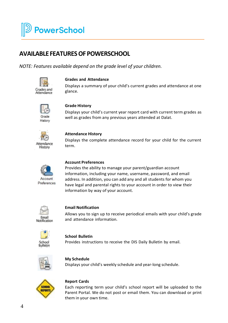# **AVAILABLEFEATURESOF POWERSCHOOL**

*NOTE: Features available depend on the grade level of your children.*



#### **Grades and Attendance**

Displays a summary of your child's current grades and attendance at one glance.



### **Grade History**

Displays your child's current year report card with current term grades as well as grades from any previous years attended at Dalat.



### **Attendance History**

Displays the complete attendance record for your child for the current term.



#### **Account Preferences**

Provides the ability to manage your parent/guardian account information, including your name, username, password, and email address. In addition, you can add any and all students for whom you have legal and parental rights to your account in order to view their information by way of your account.



#### **Email Notification**

Allows you to sign up to receive periodical emails with your child's grade and attendance information.



**School Bulletin** Provides instructions to receive the DIS Daily Bulletin by email.



**My Schedule** Displays your child's weekly schedule and year-long schedule.



#### **Report Cards**

Each reporting term your child's school report will be uploaded to the Parent Portal. We do not post or email them. You can download or print them in your own time.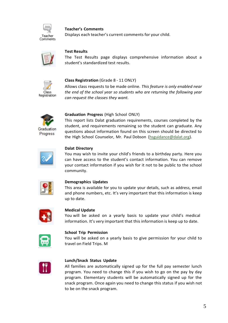

### **Teacher's Comments**

Displays each teacher's current comments for your child.



#### **Test Results**

The Test Results page displays comprehensive information about a student's standardized test results.



#### **Class Registration** (Grade 8 - 11 ONLY)

Allows class requests to be made online. *This feature is only enabled near the end of the school year so students who are returning the following year can request the classes they want.*



#### **Graduation Progress** (High School ONLY)

This report lists Dalat graduation requirements, courses completed by the student, and requirements remaining so the student can graduate. Any questions about information found on this screen should be directed to the High School Counselor, Mr. Paul Dobson [\(hsguidance@dalat.org\)](mailto:hsguidance@dalat.org).



#### **Dalat Directory**

You may wish to invite your child's friends to a birthday party. Here you can have access to the student's contact information. You can remove your contact information if you wish for it not to be public to the school community.



#### **Demographics Updates**

This area is available for you to update your details, such as address, email and phone numbers, etc. It's very important that this information is keep up to date.



#### **Medical Update**

You will be asked on a yearly basis to update your child's medical information. It's very important that this information is keep up to date.



#### **School Trip Permission**

You will be asked on a yearly basis to give permission for your child to travel on Field Trips. M



#### **Lunch/Snack Status Update**

All families are automatically signed up for the full pay semester lunch program. You need to change this if you wish to go on the pay by day program. Elementary students will be automatically signed up for the snack program. Once again you need to change this status if you wish not to be on the snack program.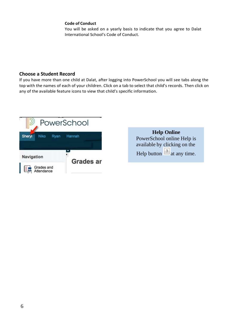#### **Code of Conduct**

You will be asked on a yearly basis to indicate that you agree to Dalat International School's Code of Conduct.

### **Choose a Student Record**

If you have more than one child at Dalat, after logging into PowerSchool you will see tabs along the top with the names of each of your children. Click on a tab to select that child's records. Then click on any of the available feature icons to view that child's specific information.



| <b>Help Online</b>                     |
|----------------------------------------|
| PowerSchool online Help is             |
| available by clicking on the           |
| Help button $\frac{?}{ }$ at any time. |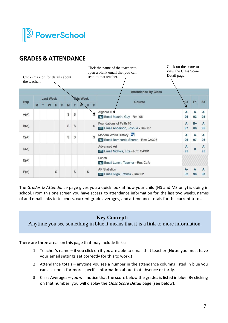

### **GRADES & ATTENDANCE**

| Click this icon for details about<br>the teacher. |   |                  |   |   |   |   |                  |   |   | Click on the score to<br>Click the name of the teacher to<br>view the Class Score<br>open a blank email that you can<br>Detail page.<br>send to that teacher. |          |                |                |
|---------------------------------------------------|---|------------------|---|---|---|---|------------------|---|---|---------------------------------------------------------------------------------------------------------------------------------------------------------------|----------|----------------|----------------|
|                                                   |   |                  |   |   |   |   |                  |   |   | <b>Attendance By Class</b>                                                                                                                                    |          |                |                |
|                                                   |   | <b>Last Week</b> |   |   |   |   | <b>This Week</b> |   |   |                                                                                                                                                               |          |                |                |
| <b>Exp</b>                                        | M |                  | H | F | M |   |                  |   | F | Course                                                                                                                                                        | C1       | F <sub>1</sub> | S <sub>1</sub> |
| A(A)                                              |   |                  |   |   | S | S |                  |   | š | Algebra II →                                                                                                                                                  | А        | А              | A              |
|                                                   |   |                  |   |   |   |   |                  |   |   | Email Maurin, Guy - Rm: 06                                                                                                                                    | 96       | 93             | 95             |
| B(A)                                              |   |                  |   |   | S | S |                  |   | S | Foundations of Faith 10<br>Email Anderson, Joshua - Rm: 07                                                                                                    | A<br>97  | $B+$<br>88     | A<br>95        |
| C(A)                                              |   |                  |   |   | S | S |                  |   | S | Modern World History<br>Email Bernhardt, Sharon - Rm: CA303                                                                                                   | A<br>96  | А<br>97        | A<br>96        |
| D(A)                                              |   |                  |   |   |   |   |                  |   |   | Advanced Art<br><b>Email Nichols, Liza - Rm: CA301</b>                                                                                                        | A<br>95  | $\bf{0}$       | A<br>95        |
| E(A)                                              |   |                  |   |   |   |   |                  |   |   | Lunch<br><b>Email Lunch, Teacher - Rm: Cafe</b>                                                                                                               |          |                |                |
| F(A)                                              |   |                  | S |   |   | S |                  | S |   | <b>AP Statistics</b><br>Email Kilgo, Patrick - Rm: 02                                                                                                         | А-<br>92 | А<br>98        | A<br>93        |

The *Grades & Attendance* page gives you a quick look at how your child (HS and MS only) is doing in school. From this one screen you have access to attendance information for the last two weeks, names of and email links to teachers, current grade averages, and attendance totals for the current term.

### **Key Concept:**

Anytime you see something in blue it means that it is a **link** to more information.

There are three areas on this page that may include links:

- 1. Teacher's name if you click on it you are able to email that teacher (**Note:** you must have your email settings set correctly for this to work.)
- 2. Attendance totals anytime you see a number in the attendance columns listed in blue you can click on it for more specific information about that absence or tardy.
- 3. Class Averages you will notice that the score below the grades is listed in blue. By clicking on that number, you will display the *Class Score Detail* page (see below).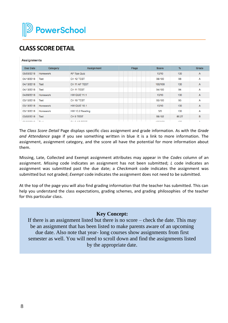# **CLASS SCOREDETAIL**

#### **Assignments**

| <b>Due Date</b> | Category        | <b>Assignment</b>     | <b>Flags</b> | <b>Score</b> | $\%$  | Grade        |
|-----------------|-----------------|-----------------------|--------------|--------------|-------|--------------|
| 05/03/2018      | <b>Homework</b> | <b>AP Tips Quiz</b>   |              | 10/10        | 100   | $\mathsf{A}$ |
| 04/18/2018      | <b>Test</b>     | CH <sub>12</sub> TEST |              | 98/100       | 98    | A            |
| 04/13/2018      | <b>Test</b>     | CH 11 AP TEST         |              | 100/100      | 100   | $\mathsf{A}$ |
| 04/13/2018      | <b>Test</b>     | CH <sub>11</sub> TEST |              | 94/100       | 94    | A            |
| 04/09/2018      | <b>Homework</b> | <b>HW QUIZ 11.1</b>   |              | 10/10        | 100   | A            |
| 03/15/2018      | <b>Test</b>     | CH 10 TEST            |              | 95/100       | 95    | A            |
| 03/13/2018      | <b>Homework</b> | <b>HW QUIZ 10.1</b>   |              | 10/10        | 100   | A            |
| 03/13/2018      | Homework        | HW 10.2 Reading       |              | 5/5          | 100   | A            |
| 03/02/2018      | <b>Test</b>     | <b>CH 9 TEST</b>      |              | 88/102       | 86.27 | B            |
| 0.00000000      | $77 - 44$       | QH Q A R T T Q T      |              | 4001400      | 400   | $\sim$       |

The *Class Score Detail* Page displays specific class assignment and grade information. As with the *Grade and Attendance* page if you see something written in blue it is a link to more information. The assignment, assignment category, and the score all have the potential for more information about them.

Missing, Late, Collected and Exempt assignment attributes may appear in the *Codes* column of an assignment. *Missing* code indicates an assignment has not been submitted; *L* code indicates an assignment was submitted past the due date; a *Checkmark* code indicates the assignment was submitted but not graded; *Exempt* code indicates the assignment does not need to be submitted.

At the top of the page you will also find grading information that the teacher has submitted. This can help you understand the class expectations, grading schemes, and grading philosophies of the teacher for this particular class.

### **Key Concept:**

If there is an assignment listed but there is no score – check the date. This may be an assignment that has been listed to make parents aware of an upcoming due date. Also note that year- long courses show assignments from first semester as well. You will need to scroll down and find the assignments listed by the appropriate date.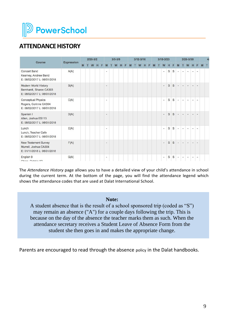

# **ATTENDANCE HISTORY**

|                                                                                   | <b>Expression</b><br>M |  | $2/26 - 3/2$ |   |   |                |   | $3/5 - 3/9$ |   |   |   | $3/12 - 3/16$ |   |   |   | $3/19 - 3/23$  |   |   |                          |                | 3/26-3/30 |                |        |   |  |
|-----------------------------------------------------------------------------------|------------------------|--|--------------|---|---|----------------|---|-------------|---|---|---|---------------|---|---|---|----------------|---|---|--------------------------|----------------|-----------|----------------|--------|---|--|
| Course                                                                            |                        |  | W            | H | F | M              | т | W           | H | F | M | W             | H | F | M | W              | н | Е |                          |                | W         | н              |        | M |  |
| Concert Band<br>Kearney, Andrew Band<br>E: 08/02/2017 L: 06/01/2018               | A(A)                   |  |              |   |   | ×              |   |             |   |   |   |               |   |   |   | $\sim$         | S | S | $\,$                     | $\blacksquare$ | ٠         | $\blacksquare$ |        |   |  |
| Modern World History<br>Bernhardt, Sharon CA303<br>E: 08/02/2017 L: 06/01/2018    | B(A)                   |  |              |   |   | $\blacksquare$ |   |             |   |   |   |               |   |   |   | $\bullet$      | S | S | $\blacksquare$           | $\sim$         | $\sim$    | $\blacksquare$ | $\sim$ |   |  |
| <b>Conceptual Physics</b><br>Rogers, Corinne CA304<br>E: 08/02/2017 L: 06/01/2018 | C(A)                   |  |              |   |   | $\blacksquare$ |   |             |   |   |   |               |   |   |   | ×              | S | S | $\sim$                   | $\sim$         | ×         | $\blacksquare$ | ۰      |   |  |
| Spanish I<br>Allen, Joshua ES113<br>E: 08/02/2017 L: 06/01/2018                   | D(A)                   |  |              |   |   | $\sim$         |   |             |   |   |   |               |   |   |   | $\sim$         | S | S | $\sim$                   | $\sim$         | ٠         |                |        |   |  |
| Lunch<br>Lunch, Teacher Cafe<br>E: 08/02/2017 L: 06/01/2018                       | E(A)                   |  |              |   |   | $\blacksquare$ |   |             |   |   |   |               |   |   |   | $\sim$         | S | S | $\sim$                   | $\sim$         | ۰         | $\blacksquare$ |        |   |  |
| New Testament Survey<br>Murrell, Joshua CA304<br>E: 01/11/2018 L: 06/01/2018      | F(A)                   |  |              |   |   | $\sim$         |   |             |   |   |   |               |   |   |   | $\sim$         | S | S | $\sim$                   | $\sim$         | $\sim$    | $\sim$         | ۰      |   |  |
| English 9<br>China Dabhia 00                                                      | G(A)                   |  |              |   |   | $\blacksquare$ |   |             |   |   |   |               |   |   |   | $\blacksquare$ | S | S | $\overline{\phantom{a}}$ | $\sim$         | ۰         | $\blacksquare$ | ۰      |   |  |

The *Attendance History* page allows you to have a detailed view of your child's attendance in school during the current term. At the bottom of the page, you will find the attendance legend which shows the attendance codes that are used at Dalat International School.

#### **Note:**

A student absence that is the result of a school sponsored trip (coded as "S") may remain an absence ("A") for a couple days following the trip. This is because on the day of the absence the teacher marks them as such. When the attendance secretary receives a Student Leave of Absence Form from the student she then goes in and makes the appropriate change.

Parents are encouraged to read through the absence policy in the Dalat handbooks.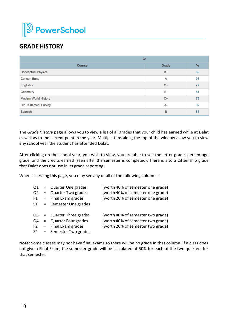

# **GRADE HISTORY**

| C <sub>1</sub>            |       |    |
|---------------------------|-------|----|
| <b>Course</b>             | Grade | %  |
| <b>Conceptual Physics</b> | $B+$  | 89 |
| <b>Concert Band</b>       | A     | 93 |
| English 9                 | $C+$  | 77 |
| Geometry                  | B-    | 81 |
| Modern World History      | $C+$  | 78 |
| Old Testament Survey      | A-    | 92 |
| Spanish I                 | B     | 83 |

The *Grade History* page allows you to view a list of all grades that your child has earned while at Dalat as well as to the current point in the year. Multiple tabs along the top of the window allow you to view any school year the student has attended Dalat.

After clicking on the school year, you wish to view, you are able to see the letter grade, percentage grade, and the credits earned (seen after the semester is completed). There is also a Citizenship grade that Dalat does not use in its grade reporting.

When accessing this page, you may see any or all of the following columns:

| Q1<br>Q <sub>2</sub><br>F1 | = Quarter One grades<br>= Quarter Two grades<br>= Final Exam grades<br>$S1 =$ Semester One grades            | (worth 40% of semester one grade)<br>(worth 40% of semester one grade)<br>(worth 20% of semester one grade) |
|----------------------------|--------------------------------------------------------------------------------------------------------------|-------------------------------------------------------------------------------------------------------------|
| Q4                         | $Q3 =$ Quarter Three grades<br>= Quarter Four grades<br>$F2 =$ Final Exam grades<br>S2 = Semester Two grades | (worth 40% of semester two grade)<br>(worth 40% of semester two grade)<br>(worth 20% of semester two grade) |

**Note:** Some classes may not have final exams so there will be no grade in that column. If a class does not give a Final Exam, the semester grade will be calculated at 50% for each of the two quarters for that semester.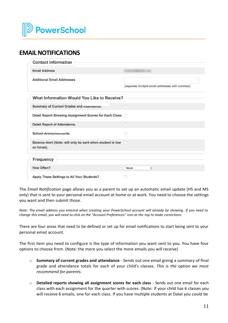

## **EMAILNOTIFICATIONS**

| <b>Contact Information</b>                                               |                                                 |
|--------------------------------------------------------------------------|-------------------------------------------------|
| <b>Email Address</b>                                                     |                                                 |
| <b>Additional Email Addresses</b>                                        | (separate multiple email addresses with commas) |
| <b>What Information Would You Like to Receive?</b>                       |                                                 |
| <b>Summary of Current Grades and Attendance.</b>                         |                                                 |
| Detail Report Showing Assignment Scores for Each Class. D                |                                                 |
| <b>Detail Report of Attendance.</b>                                      |                                                 |
| <b>School Announcements.</b>                                             |                                                 |
| Balance Alert (Note: will only be sent when student is low<br>on funds). | n                                               |
| <b>Frequency</b>                                                         |                                                 |
| <b>How Often?</b>                                                        | ≎<br>Never                                      |
| <b>Apply These Settings to All Your Students?</b>                        |                                                 |

The *Email Notification* page allows you as a parent to set up an automatic email update (HS and MS only) that is sent to your personal email account at home or at work. You need to choose the settings you want and then submit those.

Note: The email address you entered when creating your PowerSchool account will already be showing. If you need to change this email, you will need to click on the "Account Preferences" icon at the top to make corrections.

There are four areas that need to be defined or set up for email notifications to start being sent to your personal email account.

The first item you need to configure is the type of information you want sent to you. You have four options to choose from. (Note: the more you select the more emails you will receive)

- o **Summary of current grades and attendance** Sends out one email giving a summary of final grade and attendance totals for each of your child's classes. *This is the option we most recommend for parents.*
- o **Detailed reports showing all assignment scores for each class**  Sends out one email for each class with each assignment for the quarter with scores. (Note: If your child has 6 classes you will receive 6 emails, one for each class. If you have multiple students at Dalat you could be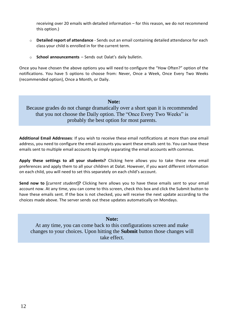receiving over 20 emails with detailed information – for this reason, we do not recommend this option.)

- o **Detailed report of attendance** Sends out an email containing detailed attendance for each class your child is enrolled in for the current term.
- o **School announcements** Sends out Dalat's daily bulletin.

Once you have chosen the above options you will need to configure the "How Often?" option of the notifications. You have 5 options to choose from: Never, Once a Week, Once Every Two Weeks (recommended option), Once a Month, or Daily.

#### **Note:**

Because grades do not change dramatically over a short span it is recommended that you not choose the Daily option. The "Once Every Two Weeks" is probably the best option for most parents.

**Additional Email Addresses**: If you wish to receive these email notifications at more than one email address, you need to configure the email accounts you want these emails sent to. You can have these emails sent to multiple email accounts by simply separating the email accounts with commas.

**Apply these settings to all your students?** Clicking here allows you to take these new email preferences and apply them to all your children at Dalat. However, if you want different information on each child, you will need to set this separately on each child's account.

**Send now to [***current student***]?** Clicking here allows you to have these emails sent to your email account now. At any time, you can come to this screen, check this box and click the Submit button to have these emails sent. If the box is not checked, you will receive the next update according to the choices made above. The server sends out these updates automatically on Mondays.

### **Note:**

At any time, you can come back to this configurations screen and make changes to your choices. Upon hitting the **Submit** button those changes will take effect.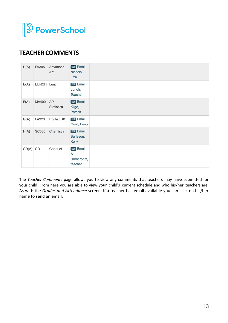

# **TEACHER COMMENTS**

| D(A)  | FA305        | Advanced<br>Art         | 图 Email<br>Nichols,<br>Liza                 |  |
|-------|--------------|-------------------------|---------------------------------------------|--|
| E(A)  | LUNCH Lunch  |                         | (甲 Email<br>Lunch,<br><b>Teacher</b>        |  |
| F(A)  | MA400        | AP<br><b>Statistics</b> | (甲 Email<br>Kilgo,<br><b>Patrick</b>        |  |
| G(A)  | LA320        | English 10              | (甲 Email<br>Grad, Emily                     |  |
| H(A)  | <b>SC330</b> | Chemistry               | 图 Email<br>Burleson,<br>Kelly               |  |
| CD(A) | CD           | Conduct                 | <b>甲</b> Email<br>A<br>Homeroom,<br>teacher |  |

The *Teacher Comments* page allows you to view any comments that teachers may have submitted for your child. From here you are able to view your child's current schedule and who his/her teachers are. As with the *Grades and Attendance* screen, if a teacher has email available you can click on his/her name to send an email.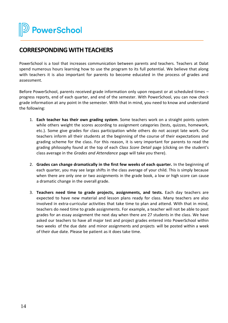**2** PowerSchool

### **CORRESPONDING WITH TEACHERS**

PowerSchool is a tool that increases communication between parents and teachers. Teachers at Dalat spend numerous hours learning how to use the program to its full potential. We believe that along with teachers it is also important for parents to become educated in the process of grades and assessment.

Before PowerSchool, parents received grade information only upon request or at scheduled times – progress reports, end of each quarter, and end of the semester. With PowerSchool, you can now check grade information at any point in the semester. With that in mind, you need to know and understand the following:

- 1. **Each teacher has their own grading system**. Some teachers work on a straight points system while others weight the scores according to assignment categories (tests, quizzes, homework, etc.). Some give grades for class participation while others do not accept late work. Our teachers inform all their students at the beginning of the course of their expectations and grading scheme for the class. For this reason, it is very important for parents to read the grading philosophy found at the top of each *Class Score Detail* page (clicking on the student's class average in the *Grades and Attendance* page will take you there).
- 2. **Grades can change dramatically in the first few weeks of each quarter.** In the beginning of each quarter, you may see large shifts in the class average of your child. This is simply because when there are only one or two assignments in the grade book, a low or high score can cause a dramatic change in the overall grade.
- 3. **Teachers need time to grade projects, assignments, and tests.** Each day teachers are expected to have new material and lesson plans ready for class. Many teachers are also involved in extra-curricular activities that take time to plan and attend. With that in mind, teachers do need time to grade assignments. For example, a teacher will not be able to post grades for an essay assignment the next day when there are 27 students in the class. We have asked our teachers to have all major test and project grades entered into PowerSchool within two weeks of the due date and minor assignments and projects will be posted within a week of their due date. Please be patient as it does take time.